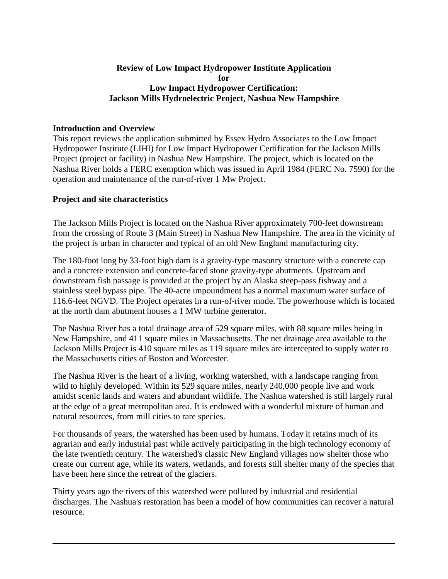#### **Review of Low Impact Hydropower Institute Application for Low Impact Hydropower Certification: Jackson Mills Hydroelectric Project, Nashua New Hampshire**

## **Introduction and Overview**

This report reviews the application submitted by Essex Hydro Associates to the Low Impact Hydropower Institute (LIHI) for Low Impact Hydropower Certification for the Jackson Mills Project (project or facility) in Nashua New Hampshire. The project, which is located on the Nashua River holds a FERC exemption which was issued in April 1984 (FERC No. 7590) for the operation and maintenance of the run-of-river 1 Mw Project.

## **Project and site characteristics**

The Jackson Mills Project is located on the Nashua River approximately 700-feet downstream from the crossing of Route 3 (Main Street) in Nashua New Hampshire. The area in the vicinity of the project is urban in character and typical of an old New England manufacturing city.

The 180-foot long by 33-foot high dam is a gravity-type masonry structure with a concrete cap and a concrete extension and concrete-faced stone gravity-type abutments. Upstream and downstream fish passage is provided at the project by an Alaska steep-pass fishway and a stainless steel bypass pipe. The 40-acre impoundment has a normal maximum water surface of 116.6-feet NGVD. The Project operates in a run-of-river mode. The powerhouse which is located at the north dam abutment houses a 1 MW turbine generator.

The Nashua River has a total drainage area of 529 square miles, with 88 square miles being in New Hampshire, and 411 square miles in Massachusetts. The net drainage area available to the Jackson Mills Project is 410 square miles as 119 square miles are intercepted to supply water to the Massachusetts cities of Boston and Worcester.

The Nashua River is the heart of a living, working watershed, with a landscape ranging from wild to highly developed. Within its 529 square miles, nearly 240,000 people live and work amidst scenic lands and waters and abundant wildlife. The Nashua watershed is still largely rural at the edge of a great metropolitan area. It is endowed with a wonderful mixture of human and natural resources, from mill cities to rare species.

For thousands of years, the watershed has been used by humans. Today it retains much of its agrarian and early industrial past while actively participating in the high technology economy of the late twentieth century. The watershed's classic New England villages now shelter those who create our current age, while its waters, wetlands, and forests still shelter many of the species that have been here since the retreat of the glaciers.

Thirty years ago the rivers of this watershed were polluted by industrial and residential discharges. The Nashua's restoration has been a model of how communities can recover a natural resource.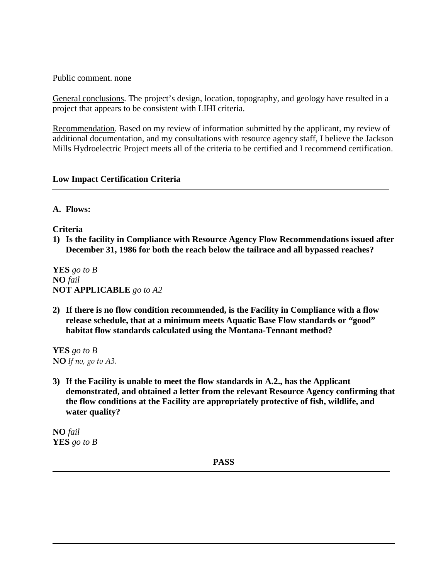Public comment. none

General conclusions. The project's design, location, topography, and geology have resulted in a project that appears to be consistent with LIHI criteria.

Recommendation. Based on my review of information submitted by the applicant, my review of additional documentation, and my consultations with resource agency staff, I believe the Jackson Mills Hydroelectric Project meets all of the criteria to be certified and I recommend certification.

### **Low Impact Certification Criteria**

### **A. Flows:**

**Criteria**

**1) Is the facility in Compliance with Resource Agency Flow Recommendations issued after December 31, 1986 for both the reach below the tailrace and all bypassed reaches?** 

**YES** *go to B* **NO** *fail*  **NOT APPLICABLE** *go to A2*

**2) If there is no flow condition recommended, is the Facility in Compliance with a flow release schedule, that at a minimum meets Aquatic Base Flow standards or "good" habitat flow standards calculated using the Montana-Tennant method?**

**YES** *go to B* **NO** *If no, go to A3.*

**3) If the Facility is unable to meet the flow standards in A.2., has the Applicant demonstrated, and obtained a letter from the relevant Resource Agency confirming that the flow conditions at the Facility are appropriately protective of fish, wildlife, and water quality?**

**NO** *fail*  **YES** *go to B*

**PASS**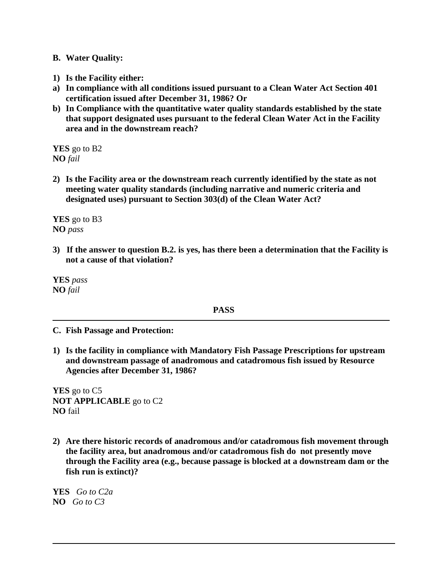### **B. Water Quality:**

- **1) Is the Facility either:**
- **a) In compliance with all conditions issued pursuant to a Clean Water Act Section 401 certification issued after December 31, 1986? Or**
- **b) In Compliance with the quantitative water quality standards established by the state that support designated uses pursuant to the federal Clean Water Act in the Facility area and in the downstream reach?**

**YES** go to B2 **NO** *fail* 

**2) Is the Facility area or the downstream reach currently identified by the state as not meeting water quality standards (including narrative and numeric criteria and designated uses) pursuant to Section 303(d) of the Clean Water Act?** 

**YES** go to B3 **NO** *pass*

**3) If the answer to question B.2. is yes, has there been a determination that the Facility is not a cause of that violation?**

**YES** *pass* **NO** *fail* 

### **PASS**

**C. Fish Passage and Protection:**

**1) Is the facility in compliance with Mandatory Fish Passage Prescriptions for upstream and downstream passage of anadromous and catadromous fish issued by Resource Agencies after December 31, 1986?**

**YES** go to C5 **NOT APPLICABLE** go to C2 **NO** fail

**2) Are there historic records of anadromous and/or catadromous fish movement through the facility area, but anadromous and/or catadromous fish do not presently move through the Facility area (e.g., because passage is blocked at a downstream dam or the fish run is extinct)?**

**YES** *Go to C2a* **NO** *Go to C3*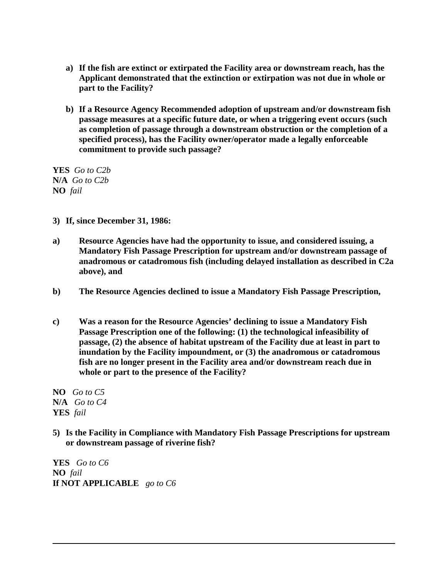- **a) If the fish are extinct or extirpated the Facility area or downstream reach, has the Applicant demonstrated that the extinction or extirpation was not due in whole or part to the Facility?**
- **b) If a Resource Agency Recommended adoption of upstream and/or downstream fish passage measures at a specific future date, or when a triggering event occurs (such as completion of passage through a downstream obstruction or the completion of a specified process), has the Facility owner/operator made a legally enforceable commitment to provide such passage?**

**YES** *Go to C2b* **N/A** *Go to C2b* **NO** *fail*

- **3) If, since December 31, 1986:**
- **a) Resource Agencies have had the opportunity to issue, and considered issuing, a Mandatory Fish Passage Prescription for upstream and/or downstream passage of anadromous or catadromous fish (including delayed installation as described in C2a above), and**
- **b) The Resource Agencies declined to issue a Mandatory Fish Passage Prescription,**
- **c) Was a reason for the Resource Agencies' declining to issue a Mandatory Fish Passage Prescription one of the following: (1) the technological infeasibility of passage, (2) the absence of habitat upstream of the Facility due at least in part to inundation by the Facility impoundment, or (3) the anadromous or catadromous fish are no longer present in the Facility area and/or downstream reach due in whole or part to the presence of the Facility?**

**NO** *Go to C5* **N/A** *Go to C4* **YES** *fail* 

**5) Is the Facility in Compliance with Mandatory Fish Passage Prescriptions for upstream or downstream passage of riverine fish?** 

**YES** *Go to C6* **NO** *fail* **If NOT APPLICABLE** *go to C6*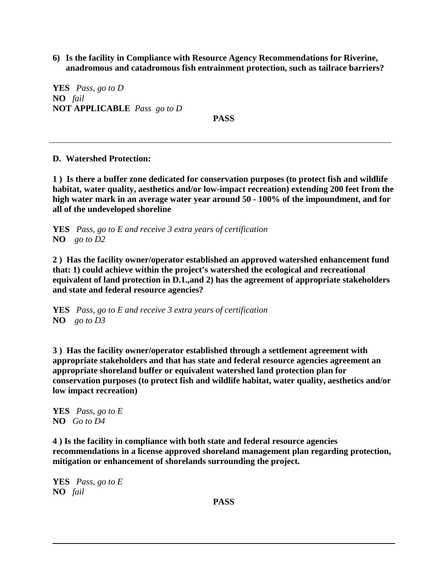**6) Is the facility in Compliance with Resource Agency Recommendations for Riverine, anadromous and catadromous fish entrainment protection, such as tailrace barriers?**

**YES** *Pass, go to D* **NO** *fail* **NOT APPLICABLE** *Pass go to D*

**PASS**

**D. Watershed Protection:**

**1 ) Is there a buffer zone dedicated for conservation purposes (to protect fish and wildlife habitat, water quality, aesthetics and/or low-impact recreation) extending 200 feet from the high water mark in an average water year around 50 - 100% of the impoundment, and for all of the undeveloped shoreline**

**YES** *Pass, go to E and receive 3 extra years of certification* **NO** *go to D2*

**2 ) Has the facility owner/operator established an approved watershed enhancement fund that: 1) could achieve within the project's watershed the ecological and recreational equivalent of land protection in D.1.,and 2) has the agreement of appropriate stakeholders and state and federal resource agencies?**

**YES** *Pass, go to E and receive 3 extra years of certification* **NO** *go to D3*

**3 ) Has the facility owner/operator established through a settlement agreement with appropriate stakeholders and that has state and federal resource agencies agreement an appropriate shoreland buffer or equivalent watershed land protection plan for conservation purposes (to protect fish and wildlife habitat, water quality, aesthetics and/or low impact recreation)**

**YES** *Pass, go to E* **NO** *Go to D4*

**4 ) Is the facility in compliance with both state and federal resource agencies recommendations in a license approved shoreland management plan regarding protection, mitigation or enhancement of shorelands surrounding the project.**

**YES** *Pass, go to E* **NO** *fail*

**PASS**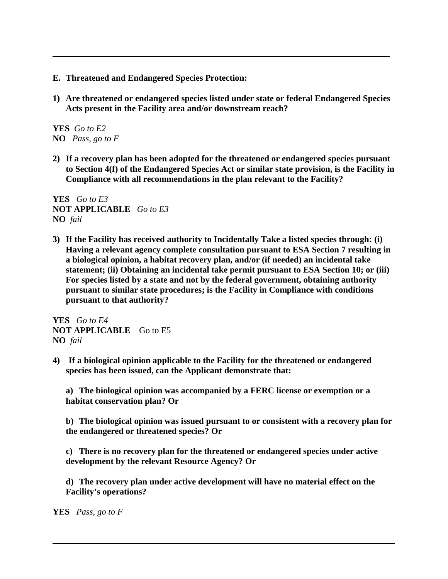- **E. Threatened and Endangered Species Protection:**
- **1) Are threatened or endangered species listed under state or federal Endangered Species Acts present in the Facility area and/or downstream reach?**

**YES** *Go to E2* **NO** *Pass, go to F*

**2) If a recovery plan has been adopted for the threatened or endangered species pursuant to Section 4(f) of the Endangered Species Act or similar state provision, is the Facility in Compliance with all recommendations in the plan relevant to the Facility?** 

**YES** *Go to E3* **NOT APPLICABLE** *Go to E3* **NO** *fail*

**3) If the Facility has received authority to Incidentally Take a listed species through: (i) Having a relevant agency complete consultation pursuant to ESA Section 7 resulting in a biological opinion, a habitat recovery plan, and/or (if needed) an incidental take statement; (ii) Obtaining an incidental take permit pursuant to ESA Section 10; or (iii) For species listed by a state and not by the federal government, obtaining authority pursuant to similar state procedures; is the Facility in Compliance with conditions pursuant to that authority?**

**YES** *Go to E4* **NOT APPLICABLE** Go to E5 **NO** *fail*

**4) If a biological opinion applicable to the Facility for the threatened or endangered species has been issued, can the Applicant demonstrate that:**

**a) The biological opinion was accompanied by a FERC license or exemption or a habitat conservation plan? Or**

**b) The biological opinion was issued pursuant to or consistent with a recovery plan for the endangered or threatened species? Or**

**c) There is no recovery plan for the threatened or endangered species under active development by the relevant Resource Agency? Or**

**d) The recovery plan under active development will have no material effect on the Facility's operations?**

**YES** *Pass, go to F*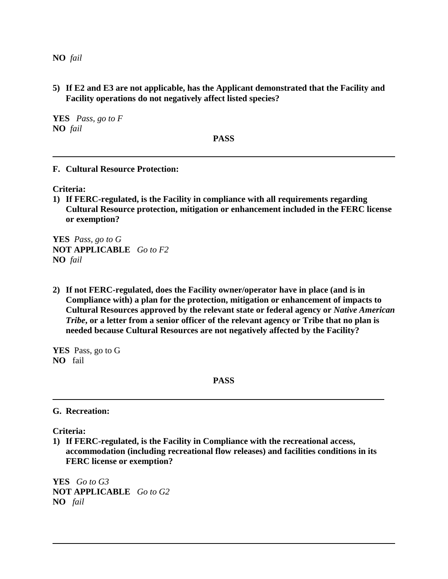**NO** *fail* 

**5) If E2 and E3 are not applicable, has the Applicant demonstrated that the Facility and Facility operations do not negatively affect listed species?**

**YES** *Pass, go to F* **NO** *fail* 

**PASS**

**F. Cultural Resource Protection:**

**Criteria:**

**1) If FERC-regulated, is the Facility in compliance with all requirements regarding Cultural Resource protection, mitigation or enhancement included in the FERC license or exemption?**

**YES** *Pass, go to G* **NOT APPLICABLE** *Go to F2* **NO** *fail*

**2) If not FERC-regulated, does the Facility owner/operator have in place (and is in Compliance with) a plan for the protection, mitigation or enhancement of impacts to Cultural Resources approved by the relevant state or federal agency or** *Native American Tribe***, or a letter from a senior officer of the relevant agency or Tribe that no plan is needed because Cultural Resources are not negatively affected by the Facility?**

**YES** Pass, go to G **NO** fail

**PASS**

**G. Recreation:**

**Criteria:**

**1) If FERC-regulated, is the Facility in Compliance with the recreational access, accommodation (including recreational flow releases) and facilities conditions in its FERC license or exemption?**

**YES** *Go to G3* **NOT APPLICABLE** *Go to G2* **NO** *fail*